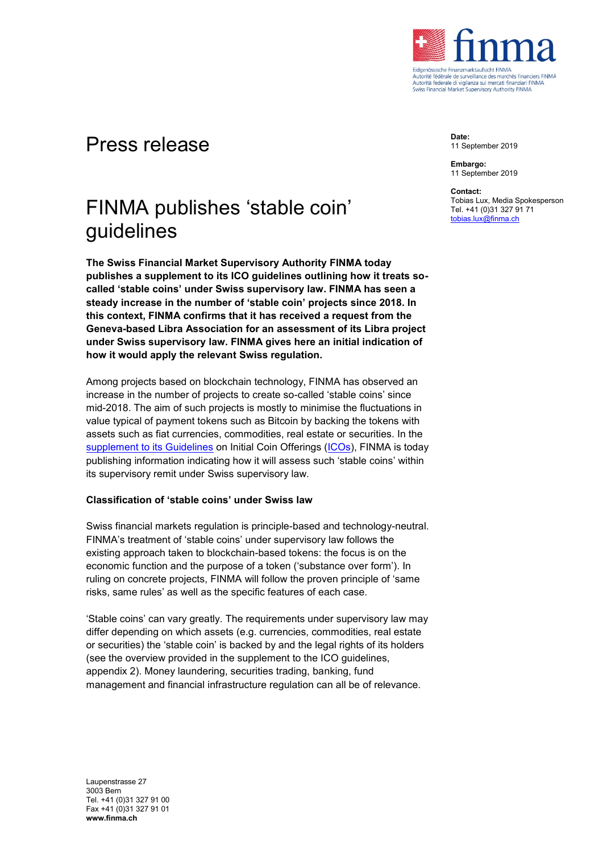

## Press release

# FINMA publishes 'stable coin' guidelines

**The Swiss Financial Market Supervisory Authority FINMA today publishes a supplement to its ICO guidelines outlining how it treats socalled 'stable coins' under Swiss supervisory law. FINMA has seen a steady increase in the number of 'stable coin' projects since 2018. In this context, FINMA confirms that it has received a request from the Geneva-based Libra Association for an assessment of its Libra project under Swiss supervisory law. FINMA gives here an initial indication of how it would apply the relevant Swiss regulation.**

Among projects based on blockchain technology, FINMA has observed an increase in the number of projects to create so-called 'stable coins' since mid-2018. The aim of such projects is mostly to minimise the fluctuations in value typical of payment tokens such as Bitcoin by backing the tokens with assets such as fiat currencies, commodities, real estate or securities. In the [supplement to its Guidelines](https://www.finma.ch/en/~/media/finma/dokumente/dokumentencenter/myfinma/1bewilligung/fintech/wegleitung-stable-coins.pdf?la=en) on Initial Coin Offerings [\(ICOs\)](https://www.finma.ch/en/news/2018/02/20180216-mm-ico-wegleitung/), FINMA is today publishing information indicating how it will assess such 'stable coins' within its supervisory remit under Swiss supervisory law.

## **Classification of 'stable coins' under Swiss law**

Swiss financial markets regulation is principle-based and technology-neutral. FINMA's treatment of 'stable coins' under supervisory law follows the existing approach taken to blockchain-based tokens: the focus is on the economic function and the purpose of a token ('substance over form'). In ruling on concrete projects, FINMA will follow the proven principle of 'same risks, same rules' as well as the specific features of each case.

'Stable coins' can vary greatly. The requirements under supervisory law may differ depending on which assets (e.g. currencies, commodities, real estate or securities) the 'stable coin' is backed by and the legal rights of its holders (see the overview provided in the supplement to the ICO guidelines, appendix 2). Money laundering, securities trading, banking, fund management and financial infrastructure regulation can all be of relevance.

Laupenstrasse 27 3003 Bern Tel. +41 (0)31 327 91 00 Fax +41 (0)31 327 91 01 **www.finma.ch**

**Date:** 11 September 2019

**Embargo:** 11 September 2019

#### **Contact:**

Tobias Lux, Media Spokesperson Tel. +41 (0)31 327 91 71 [tobias.lux@finma.ch](mailto:tobias.lux@finma.ch)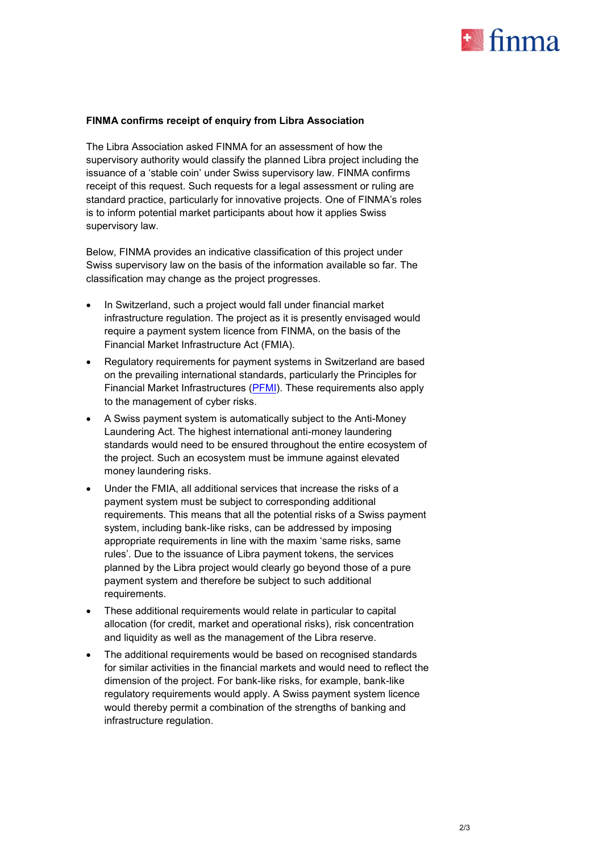

## **FINMA confirms receipt of enquiry from Libra Association**

The Libra Association asked FINMA for an assessment of how the supervisory authority would classify the planned Libra project including the issuance of a 'stable coin' under Swiss supervisory law. FINMA confirms receipt of this request. Such requests for a legal assessment or ruling are standard practice, particularly for innovative projects. One of FINMA's roles is to inform potential market participants about how it applies Swiss supervisory law.

Below, FINMA provides an indicative classification of this project under Swiss supervisory law on the basis of the information available so far. The classification may change as the project progresses.

- In Switzerland, such a project would fall under financial market infrastructure regulation. The project as it is presently envisaged would require a payment system licence from FINMA, on the basis of the Financial Market Infrastructure Act (FMIA).
- Regulatory requirements for payment systems in Switzerland are based on the prevailing international standards, particularly the Principles for Financial Market Infrastructures [\(PFMI\)](https://www.bis.org/cpmi/info_pfmi.htm). These requirements also apply to the management of cyber risks.
- A Swiss payment system is automatically subject to the Anti-Money Laundering Act. The highest international anti-money laundering standards would need to be ensured throughout the entire ecosystem of the project. Such an ecosystem must be immune against elevated money laundering risks.
- Under the FMIA, all additional services that increase the risks of a payment system must be subject to corresponding additional requirements. This means that all the potential risks of a Swiss payment system, including bank-like risks, can be addressed by imposing appropriate requirements in line with the maxim 'same risks, same rules'. Due to the issuance of Libra payment tokens, the services planned by the Libra project would clearly go beyond those of a pure payment system and therefore be subject to such additional requirements.
- These additional requirements would relate in particular to capital allocation (for credit, market and operational risks), risk concentration and liquidity as well as the management of the Libra reserve.
- The additional requirements would be based on recognised standards for similar activities in the financial markets and would need to reflect the dimension of the project. For bank-like risks, for example, bank-like regulatory requirements would apply. A Swiss payment system licence would thereby permit a combination of the strengths of banking and infrastructure regulation.